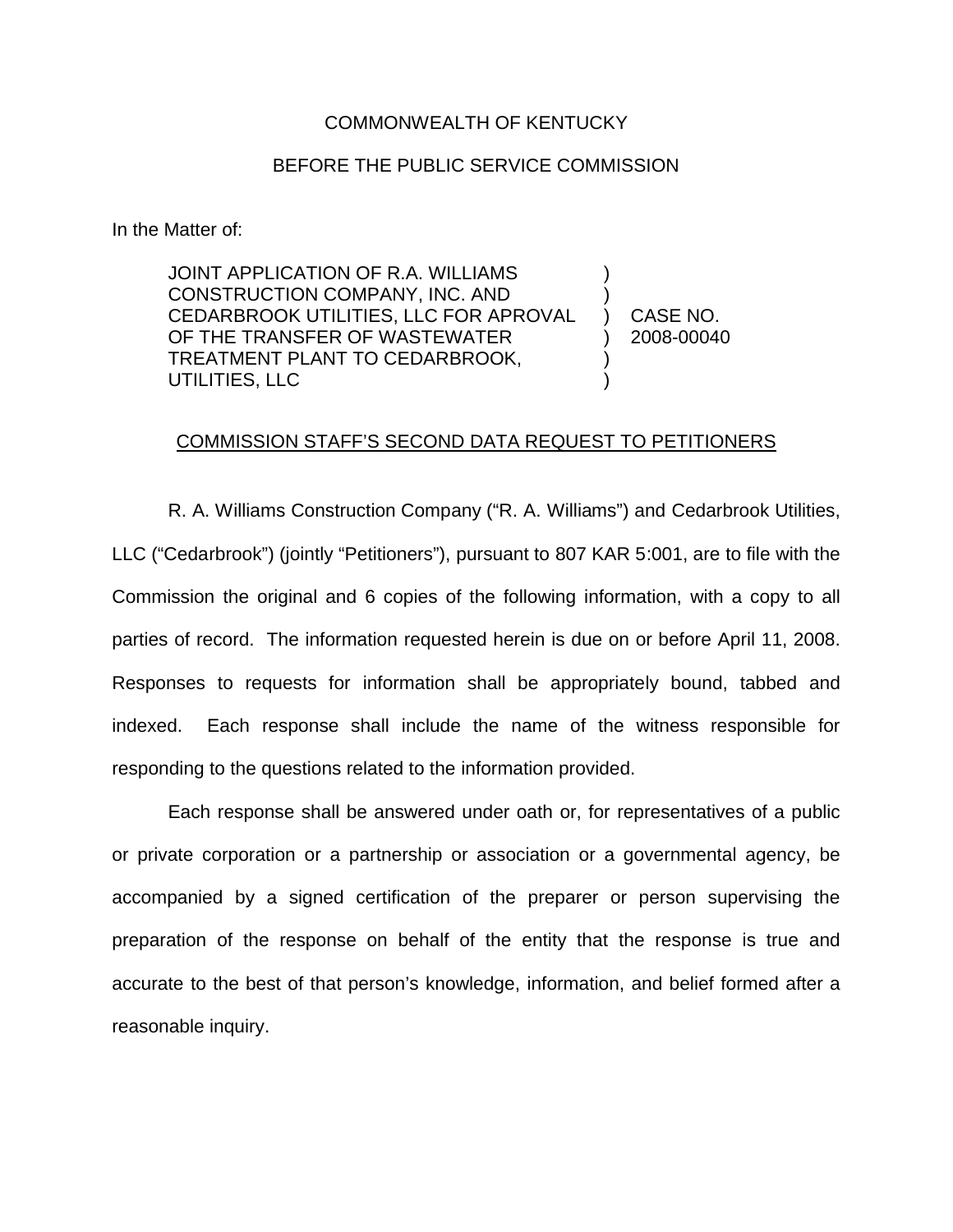## COMMONWEALTH OF KENTUCKY

## BEFORE THE PUBLIC SERVICE COMMISSION

In the Matter of:

JOINT APPLICATION OF R.A. WILLIAMS CONSTRUCTION COMPANY, INC. AND CEDARBROOK UTILITIES, LLC FOR APROVAL OF THE TRANSFER OF WASTEWATER TREATMENT PLANT TO CEDARBROOK, UTILITIES, LLC ) ) ) )

) CASE NO. ) 2008-00040

## COMMISSION STAFF'S SECOND DATA REQUEST TO PETITIONERS

R. A. Williams Construction Company ("R. A. Williams") and Cedarbrook Utilities, LLC ("Cedarbrook") (jointly "Petitioners"), pursuant to 807 KAR 5:001, are to file with the Commission the original and 6 copies of the following information, with a copy to all parties of record. The information requested herein is due on or before April 11, 2008. Responses to requests for information shall be appropriately bound, tabbed and indexed. Each response shall include the name of the witness responsible for responding to the questions related to the information provided.

Each response shall be answered under oath or, for representatives of a public or private corporation or a partnership or association or a governmental agency, be accompanied by a signed certification of the preparer or person supervising the preparation of the response on behalf of the entity that the response is true and accurate to the best of that person's knowledge, information, and belief formed after a reasonable inquiry.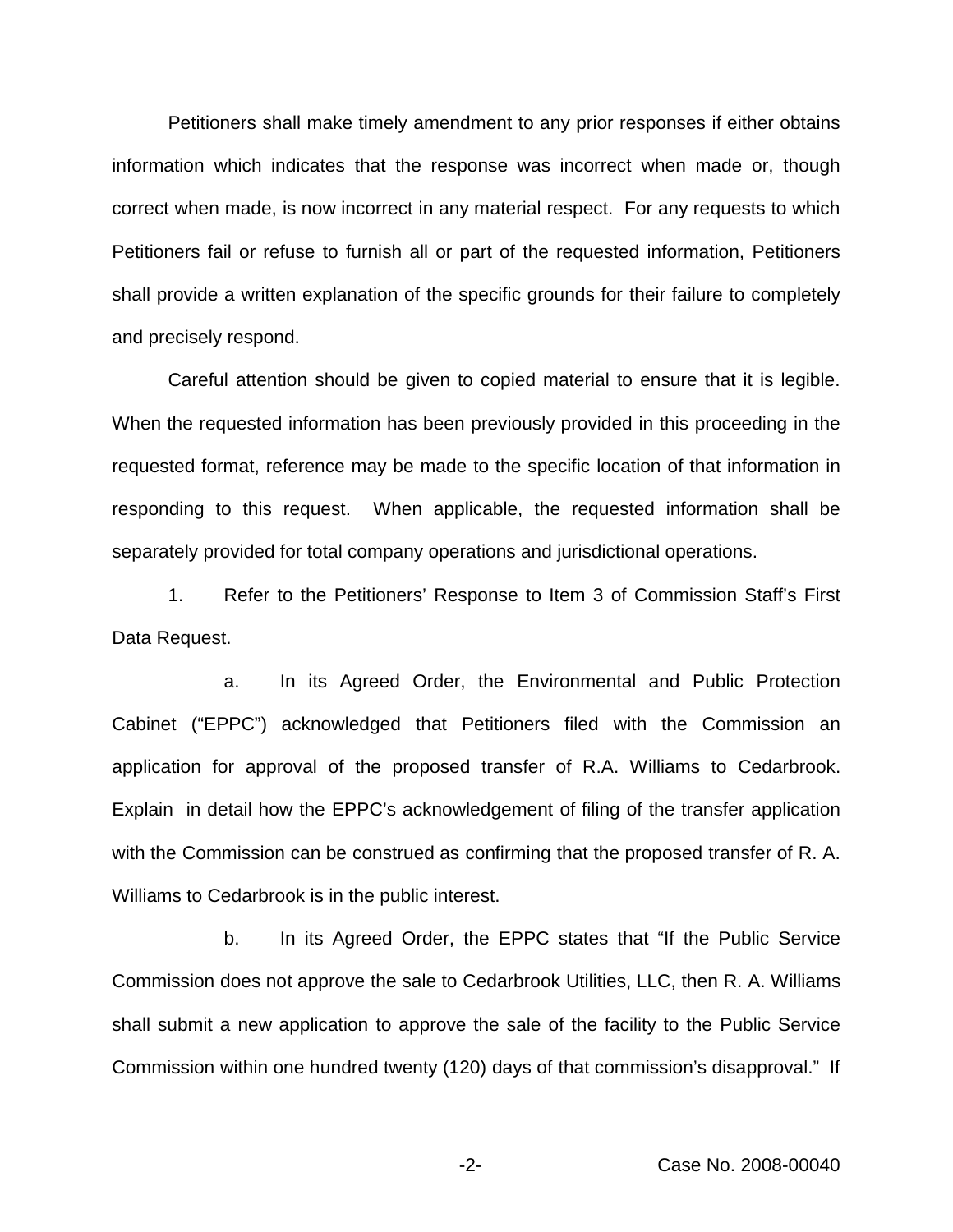Petitioners shall make timely amendment to any prior responses if either obtains information which indicates that the response was incorrect when made or, though correct when made, is now incorrect in any material respect. For any requests to which Petitioners fail or refuse to furnish all or part of the requested information, Petitioners shall provide a written explanation of the specific grounds for their failure to completely and precisely respond.

Careful attention should be given to copied material to ensure that it is legible. When the requested information has been previously provided in this proceeding in the requested format, reference may be made to the specific location of that information in responding to this request. When applicable, the requested information shall be separately provided for total company operations and jurisdictional operations.

1. Refer to the Petitioners' Response to Item 3 of Commission Staff's First Data Request.

a. In its Agreed Order, the Environmental and Public Protection Cabinet ("EPPC") acknowledged that Petitioners filed with the Commission an application for approval of the proposed transfer of R.A. Williams to Cedarbrook. Explain in detail how the EPPC's acknowledgement of filing of the transfer application with the Commission can be construed as confirming that the proposed transfer of R. A. Williams to Cedarbrook is in the public interest.

b. In its Agreed Order, the EPPC states that "If the Public Service Commission does not approve the sale to Cedarbrook Utilities, LLC, then R. A. Williams shall submit a new application to approve the sale of the facility to the Public Service Commission within one hundred twenty (120) days of that commission's disapproval." If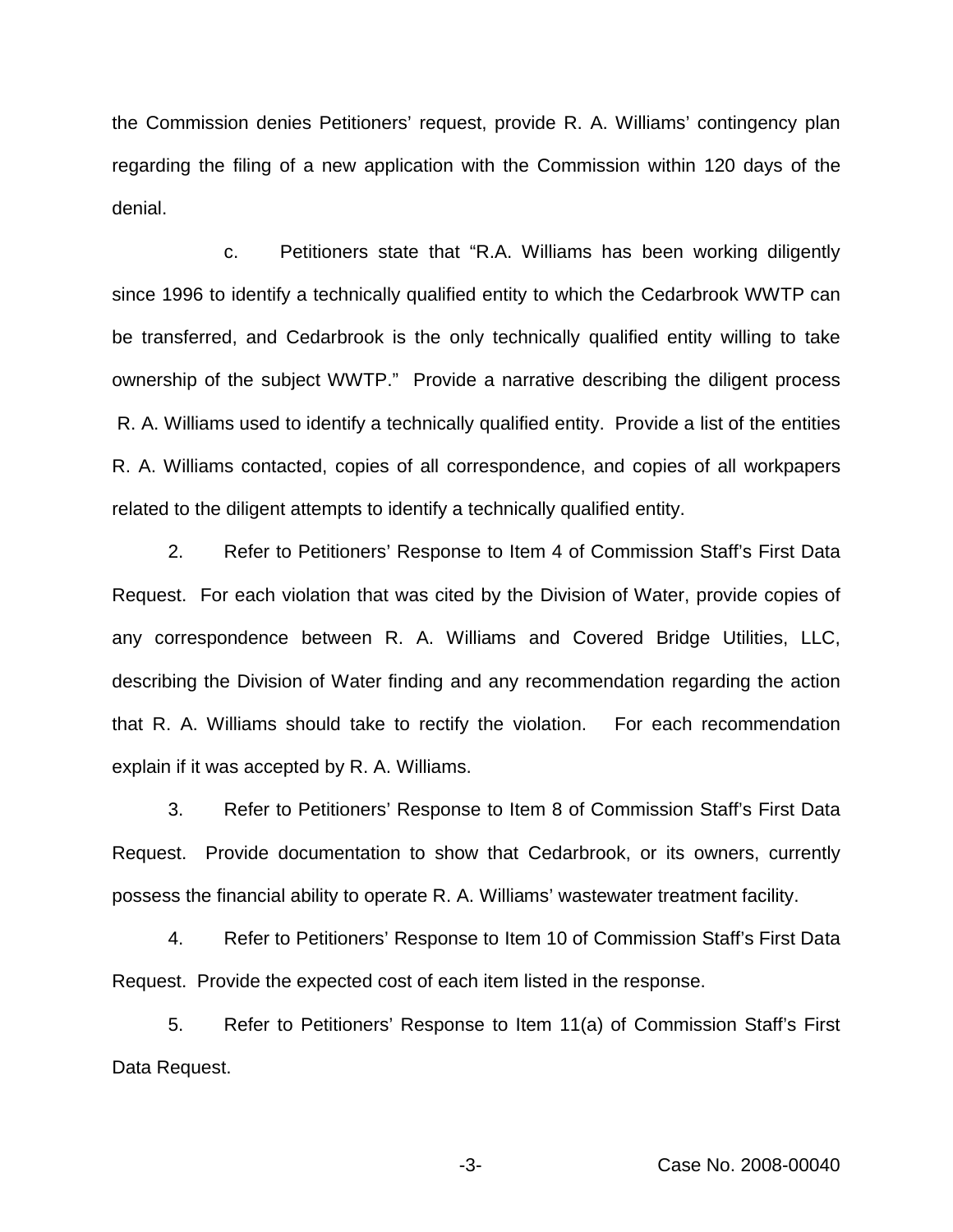the Commission denies Petitioners' request, provide R. A. Williams' contingency plan regarding the filing of a new application with the Commission within 120 days of the denial.

c. Petitioners state that "R.A. Williams has been working diligently since 1996 to identify a technically qualified entity to which the Cedarbrook WWTP can be transferred, and Cedarbrook is the only technically qualified entity willing to take ownership of the subject WWTP." Provide a narrative describing the diligent process R. A. Williams used to identify a technically qualified entity. Provide a list of the entities R. A. Williams contacted, copies of all correspondence, and copies of all workpapers related to the diligent attempts to identify a technically qualified entity.

2. Refer to Petitioners' Response to Item 4 of Commission Staff's First Data Request. For each violation that was cited by the Division of Water, provide copies of any correspondence between R. A. Williams and Covered Bridge Utilities, LLC, describing the Division of Water finding and any recommendation regarding the action that R. A. Williams should take to rectify the violation. For each recommendation explain if it was accepted by R. A. Williams.

3. Refer to Petitioners' Response to Item 8 of Commission Staff's First Data Request. Provide documentation to show that Cedarbrook, or its owners, currently possess the financial ability to operate R. A. Williams' wastewater treatment facility.

4. Refer to Petitioners' Response to Item 10 of Commission Staff's First Data Request. Provide the expected cost of each item listed in the response.

5. Refer to Petitioners' Response to Item 11(a) of Commission Staff's First Data Request.